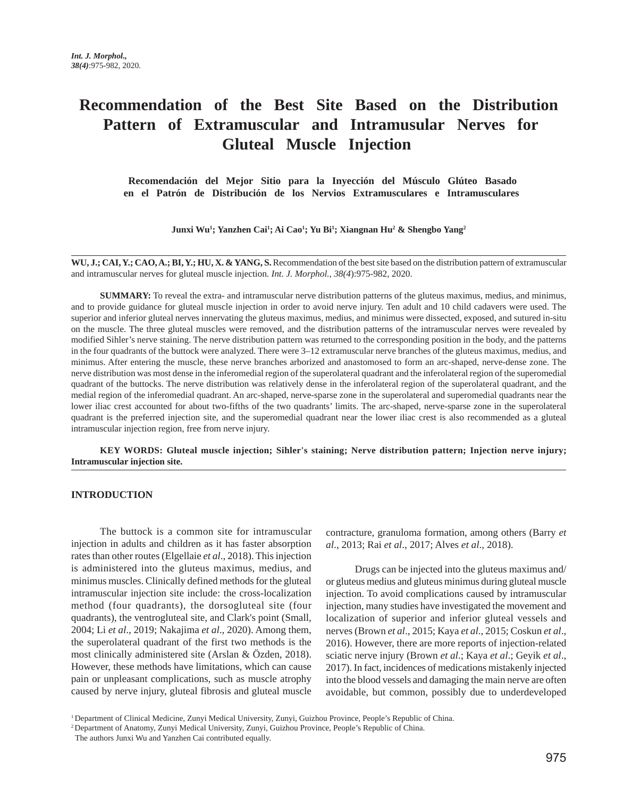# **Recommendation of the Best Site Based on the Distribution Pattern of Extramuscular and Intramusular Nerves for Gluteal Muscle Injection**

 **Recomendación del Mejor Sitio para la Inyección del Músculo Glúteo Basado en el Patrón de Distribución de los Nervios Extramusculares e Intramusculares** 

**Junxi Wu1 ; Yanzhen Cai1 ; Ai Cao1 ; Yu Bi1 ; Xiangnan Hu2 & Shengbo Yang2**

**WU, J.; CAI, Y.; CAO, A.; BI, Y.; HU, X. & YANG, S.** Recommendation of the best site based on the distribution pattern of extramuscular and intramuscular nerves for gluteal muscle injection. *Int. J. Morphol., 38(4*):975-982, 2020.

**SUMMARY:** To reveal the extra- and intramuscular nerve distribution patterns of the gluteus maximus, medius, and minimus, and to provide guidance for gluteal muscle injection in order to avoid nerve injury. Ten adult and 10 child cadavers were used. The superior and inferior gluteal nerves innervating the gluteus maximus, medius, and minimus were dissected, exposed, and sutured in-situ on the muscle. The three gluteal muscles were removed, and the distribution patterns of the intramuscular nerves were revealed by modified Sihler's nerve staining. The nerve distribution pattern was returned to the corresponding position in the body, and the patterns in the four quadrants of the buttock were analyzed. There were 3–12 extramuscular nerve branches of the gluteus maximus, medius, and minimus. After entering the muscle, these nerve branches arborized and anastomosed to form an arc-shaped, nerve-dense zone. The nerve distribution was most dense in the inferomedial region of the superolateral quadrant and the inferolateral region of the superomedial quadrant of the buttocks. The nerve distribution was relatively dense in the inferolateral region of the superolateral quadrant, and the medial region of the inferomedial quadrant. An arc-shaped, nerve-sparse zone in the superolateral and superomedial quadrants near the lower iliac crest accounted for about two-fifths of the two quadrants' limits. The arc-shaped, nerve-sparse zone in the superolateral quadrant is the preferred injection site, and the superomedial quadrant near the lower iliac crest is also recommended as a gluteal intramuscular injection region, free from nerve injury.

**KEY WORDS: Gluteal muscle injection; Sihler's staining; Nerve distribution pattern; Injection nerve injury; Intramuscular injection site.**

#### **INTRODUCTION**

The buttock is a common site for intramuscular injection in adults and children as it has faster absorption rates than other routes (Elgellaie *et al*., 2018). This injection is administered into the gluteus maximus, medius, and minimus muscles. Clinically defined methods for the gluteal intramuscular injection site include: the cross-localization method (four quadrants), the dorsogluteal site (four quadrants), the ventrogluteal site, and Clark's point (Small, 2004; Li *et al*., 2019; Nakajima *et al*., 2020). Among them, the superolateral quadrant of the first two methods is the most clinically administered site (Arslan & Özden, 2018). However, these methods have limitations, which can cause pain or unpleasant complications, such as muscle atrophy caused by nerve injury, gluteal fibrosis and gluteal muscle contracture, granuloma formation, among others (Barry *et al*., 2013; Rai *et al*., 2017; Alves *et al*., 2018).

Drugs can be injected into the gluteus maximus and/ or gluteus medius and gluteus minimus during gluteal muscle injection. To avoid complications caused by intramuscular injection, many studies have investigated the movement and localization of superior and inferior gluteal vessels and nerves (Brown *et al*., 2015; Kaya *et al*., 2015; Coskun *et al*., 2016). However, there are more reports of injection-related sciatic nerve injury (Brown *et al*.; Kaya *et al*.; Geyik *et al*., 2017). In fact, incidences of medications mistakenly injected into the blood vessels and damaging the main nerve are often avoidable, but common, possibly due to underdeveloped

<sup>1</sup> Department of Clinical Medicine, Zunyi Medical University, Zunyi, Guizhou Province, People's Republic of China.

<sup>2</sup> Department of Anatomy, Zunyi Medical University, Zunyi, Guizhou Province, People's Republic of China.

The authors Junxi Wu and Yanzhen Cai contributed equally.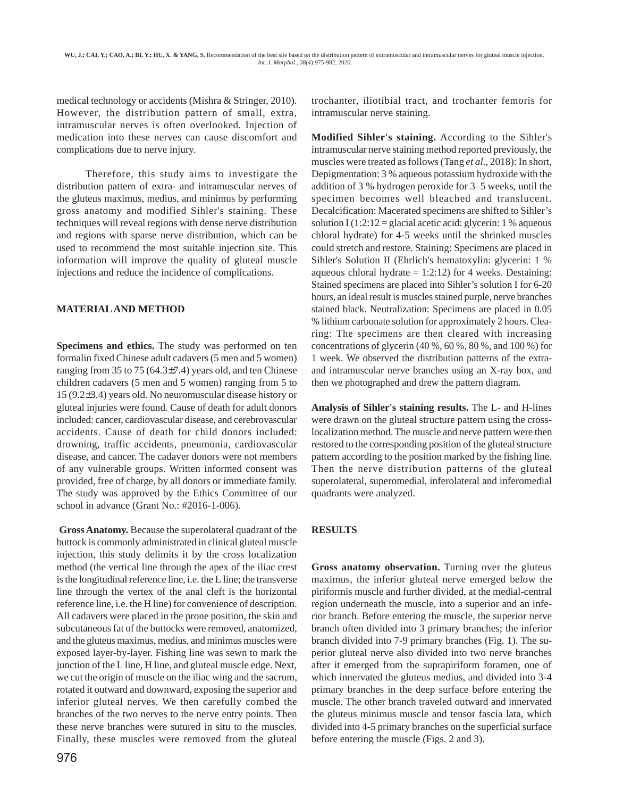medical technology or accidents (Mishra & Stringer, 2010). However, the distribution pattern of small, extra, intramuscular nerves is often overlooked. Injection of medication into these nerves can cause discomfort and complications due to nerve injury.

Therefore, this study aims to investigate the distribution pattern of extra- and intramuscular nerves of the gluteus maximus, medius, and minimus by performing gross anatomy and modified Sihler's staining. These techniques will reveal regions with dense nerve distribution and regions with sparse nerve distribution, which can be used to recommend the most suitable injection site. This information will improve the quality of gluteal muscle injections and reduce the incidence of complications.

### **MATERIAL AND METHOD**

**Specimens and ethics.** The study was performed on ten formalin fixed Chinese adult cadavers (5 men and 5 women) ranging from 35 to 75 (64.3±7.4) years old, and ten Chinese children cadavers (5 men and 5 women) ranging from 5 to 15 (9.2±3.4) years old. No neuromuscular disease history or gluteal injuries were found. Cause of death for adult donors included: cancer, cardiovascular disease, and cerebrovascular accidents. Cause of death for child donors included: drowning, traffic accidents, pneumonia, cardiovascular disease, and cancer. The cadaver donors were not members of any vulnerable groups. Written informed consent was provided, free of charge, by all donors or immediate family. The study was approved by the Ethics Committee of our school in advance (Grant No.: #2016-1-006).

**Gross Anatomy.** Because the superolateral quadrant of the buttock is commonly administrated in clinical gluteal muscle injection, this study delimits it by the cross localization method (the vertical line through the apex of the iliac crest is the longitudinal reference line, i.e. the L line; the transverse line through the vertex of the anal cleft is the horizontal reference line, i.e. the H line) for convenience of description. All cadavers were placed in the prone position, the skin and subcutaneous fat of the buttocks were removed, anatomized, and the gluteus maximus, medius, and minimus muscles were exposed layer-by-layer. Fishing line was sewn to mark the junction of the L line, H line, and gluteal muscle edge. Next, we cut the origin of muscle on the iliac wing and the sacrum, rotated it outward and downward, exposing the superior and inferior gluteal nerves. We then carefully combed the branches of the two nerves to the nerve entry points. Then these nerve branches were sutured in situ to the muscles. Finally, these muscles were removed from the gluteal

976

trochanter, iliotibial tract, and trochanter femoris for intramuscular nerve staining.

**Modified Sihler's staining.** According to the Sihler's intramuscular nerve staining method reported previously, the muscles were treated as follows (Tang *et al*., 2018): In short, Depigmentation: 3 % aqueous potassium hydroxide with the addition of 3 % hydrogen peroxide for 3–5 weeks, until the specimen becomes well bleached and translucent. Decalcification: Macerated specimens are shifted to Sihler's solution I  $(1:2:12 = \text{glacial acetic acid: glycerin: 1% aqueous})$ chloral hydrate) for 4-5 weeks until the shrinked muscles could stretch and restore. Staining: Specimens are placed in Sihler's Solution II (Ehrlich's hematoxylin: glycerin: 1 % aqueous chloral hydrate  $= 1:2:12$  for 4 weeks. Destaining: Stained specimens are placed into Sihler's solution I for 6-20 hours, an ideal result is muscles stained purple, nerve branches stained black. Neutralization: Specimens are placed in 0.05 % lithium carbonate solution for approximately 2 hours. Clearing: The specimens are then cleared with increasing concentrations of glycerin (40 %, 60 %, 80 %, and 100 %) for 1 week. We observed the distribution patterns of the extraand intramuscular nerve branches using an X-ray box, and then we photographed and drew the pattern diagram.

**Analysis of Sihler's staining results.** The L- and H-lines were drawn on the gluteal structure pattern using the crosslocalization method. The muscle and nerve pattern were then restored to the corresponding position of the gluteal structure pattern according to the position marked by the fishing line. Then the nerve distribution patterns of the gluteal superolateral, superomedial, inferolateral and inferomedial quadrants were analyzed.

## **RESULTS**

**Gross anatomy observation.** Turning over the gluteus maximus, the inferior gluteal nerve emerged below the piriformis muscle and further divided, at the medial-central region underneath the muscle, into a superior and an inferior branch. Before entering the muscle, the superior nerve branch often divided into 3 primary branches; the inferior branch divided into 7-9 primary branches (Fig. 1). The superior gluteal nerve also divided into two nerve branches after it emerged from the suprapiriform foramen, one of which innervated the gluteus medius, and divided into 3-4 primary branches in the deep surface before entering the muscle. The other branch traveled outward and innervated the gluteus minimus muscle and tensor fascia lata, which divided into 4-5 primary branches on the superficial surface before entering the muscle (Figs. 2 and 3).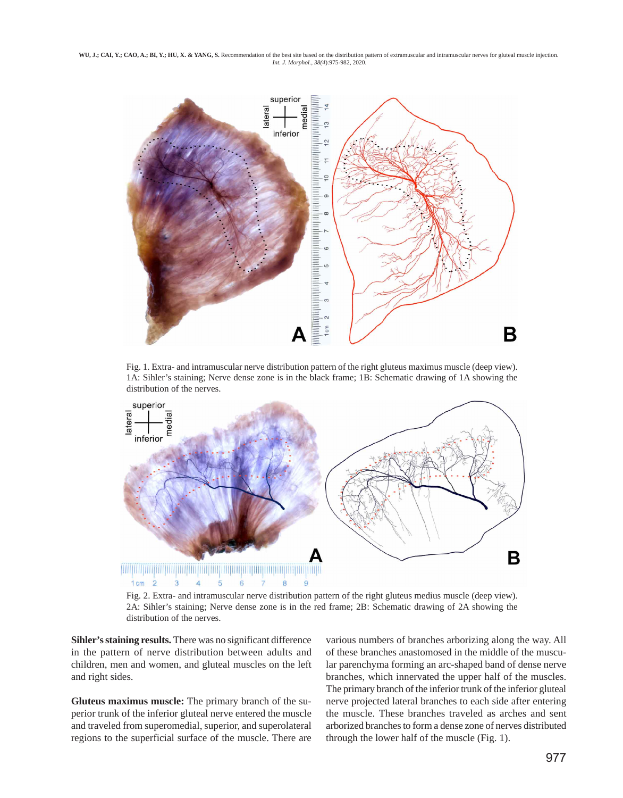WU, J.; CAI, Y.; CAO, A.; BI, Y.; HU, X. & YANG, S. Recommendation of the best site based on the distribution pattern of extramuscular and intramuscular nerves for gluteal muscle injection.  *Int. J. Morphol., 38(4*):975-982, 2020.



Fig. 1. Extra- and intramuscular nerve distribution pattern of the right gluteus maximus muscle (deep view). 1A: Sihler's staining; Nerve dense zone is in the black frame; 1B: Schematic drawing of 1A showing the distribution of the nerves.



Fig. 2. Extra- and intramuscular nerve distribution pattern of the right gluteus medius muscle (deep view). 2A: Sihler's staining; Nerve dense zone is in the red frame; 2B: Schematic drawing of 2A showing the distribution of the nerves.

**Sihler's staining results.** There was no significant difference in the pattern of nerve distribution between adults and children, men and women, and gluteal muscles on the left and right sides.

**Gluteus maximus muscle:** The primary branch of the superior trunk of the inferior gluteal nerve entered the muscle and traveled from superomedial, superior, and superolateral regions to the superficial surface of the muscle. There are

various numbers of branches arborizing along the way. All of these branches anastomosed in the middle of the muscular parenchyma forming an arc-shaped band of dense nerve branches, which innervated the upper half of the muscles. The primary branch of the inferior trunk of the inferior gluteal nerve projected lateral branches to each side after entering the muscle. These branches traveled as arches and sent arborized branches to form a dense zone of nerves distributed through the lower half of the muscle (Fig. 1).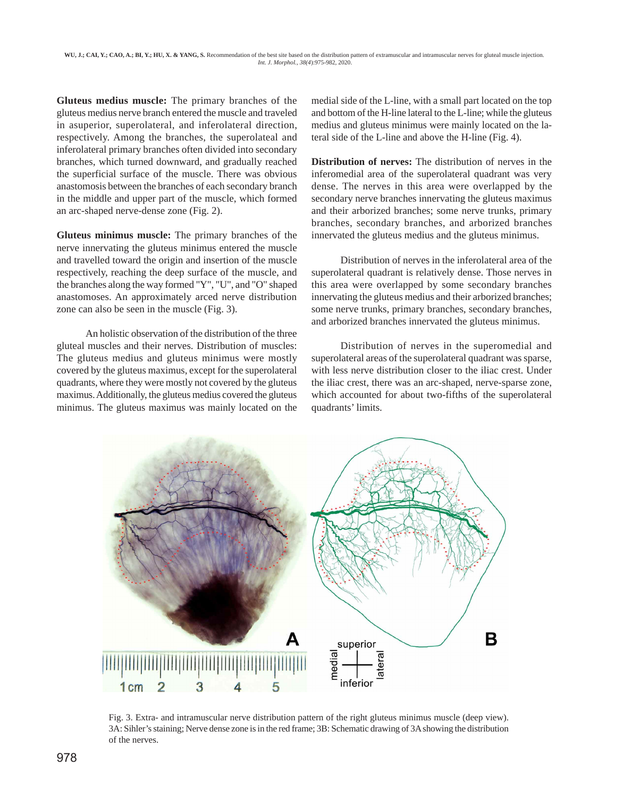WU, J.; CAI, Y.; CAO, A.; BI, Y.; HU, X. & YANG, S. Recommendation of the best site based on the distribution pattern of extramuscular and intramuscular nerves for gluteal muscle injection.  *Int. J. Morphol., 38(4*):975-982, 2020.

**Gluteus medius muscle:** The primary branches of the gluteus medius nerve branch entered the muscle and traveled in asuperior, superolateral, and inferolateral direction, respectively. Among the branches, the superolateal and inferolateral primary branches often divided into secondary branches, which turned downward, and gradually reached the superficial surface of the muscle. There was obvious anastomosis between the branches of each secondary branch in the middle and upper part of the muscle, which formed an arc-shaped nerve-dense zone (Fig. 2).

**Gluteus minimus muscle:** The primary branches of the nerve innervating the gluteus minimus entered the muscle and travelled toward the origin and insertion of the muscle respectively, reaching the deep surface of the muscle, and the branches along the way formed "Y", "U", and "O" shaped anastomoses. An approximately arced nerve distribution zone can also be seen in the muscle (Fig. 3).

An holistic observation of the distribution of the three gluteal muscles and their nerves. Distribution of muscles: The gluteus medius and gluteus minimus were mostly covered by the gluteus maximus, except for the superolateral quadrants, where they were mostly not covered by the gluteus maximus. Additionally, the gluteus medius covered the gluteus minimus. The gluteus maximus was mainly located on the medial side of the L-line, with a small part located on the top and bottom of the H-line lateral to the L-line; while the gluteus medius and gluteus minimus were mainly located on the lateral side of the L-line and above the H-line (Fig. 4).

**Distribution of nerves:** The distribution of nerves in the inferomedial area of the superolateral quadrant was very dense. The nerves in this area were overlapped by the secondary nerve branches innervating the gluteus maximus and their arborized branches; some nerve trunks, primary branches, secondary branches, and arborized branches innervated the gluteus medius and the gluteus minimus.

Distribution of nerves in the inferolateral area of the superolateral quadrant is relatively dense. Those nerves in this area were overlapped by some secondary branches innervating the gluteus medius and their arborized branches; some nerve trunks, primary branches, secondary branches, and arborized branches innervated the gluteus minimus.

Distribution of nerves in the superomedial and superolateral areas of the superolateral quadrant was sparse, with less nerve distribution closer to the iliac crest. Under the iliac crest, there was an arc-shaped, nerve-sparse zone, which accounted for about two-fifths of the superolateral quadrants' limits.



Fig. 3. Extra- and intramuscular nerve distribution pattern of the right gluteus minimus muscle (deep view). 3A: Sihler's staining; Nerve dense zone is in the red frame; 3B: Schematic drawing of 3A showing the distribution of the nerves.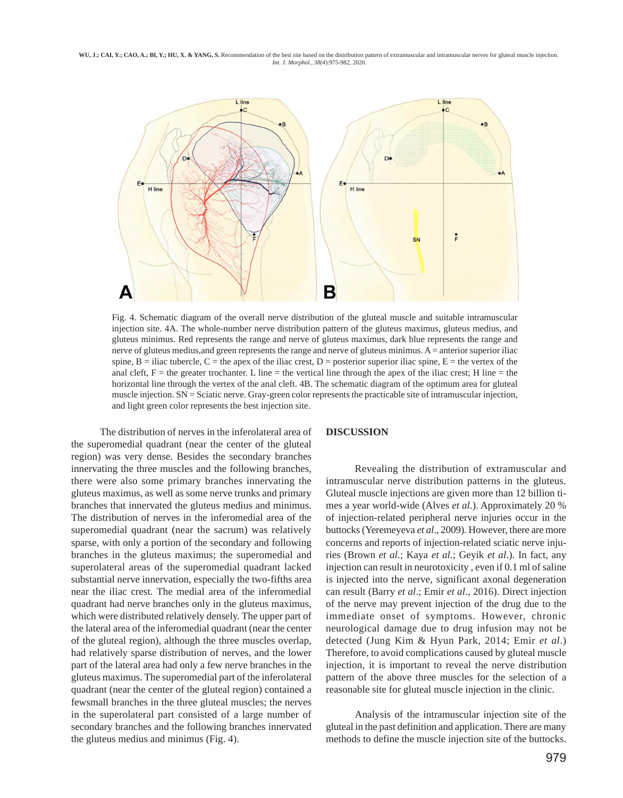WU, J.; CAI, Y.; CAO, A.; BI, Y.; HU, X. & YANG, S. Recommendation of the best site based on the distribution pattern of extramuscular and intramuscular nerves for gluteal muscle injection.  *Int. J. Morphol., 38(4*):975-982, 2020.



Fig. 4. Schematic diagram of the overall nerve distribution of the gluteal muscle and suitable intramuscular injection site. 4A. The whole-number nerve distribution pattern of the gluteus maximus, gluteus medius, and gluteus minimus. Red represents the range and nerve of gluteus maximus, dark blue represents the range and nerve of gluteus medius, and green represents the range and nerve of gluteus minimus. A = anterior superior iliac spine,  $B =$  iliac tubercle,  $C =$  the apex of the iliac crest,  $D =$  posterior superior iliac spine,  $E =$  the vertex of the anal cleft,  $F =$  the greater trochanter. L line  $=$  the vertical line through the apex of the iliac crest; H line  $=$  the horizontal line through the vertex of the anal cleft. 4B. The schematic diagram of the optimum area for gluteal muscle injection. SN = Sciatic nerve. Gray-green color represents the practicable site of intramuscular injection, and light green color represents the best injection site.

The distribution of nerves in the inferolateral area of the superomedial quadrant (near the center of the gluteal region) was very dense. Besides the secondary branches innervating the three muscles and the following branches, there were also some primary branches innervating the gluteus maximus, as well as some nerve trunks and primary branches that innervated the gluteus medius and minimus. The distribution of nerves in the inferomedial area of the superomedial quadrant (near the sacrum) was relatively sparse, with only a portion of the secondary and following branches in the gluteus maximus; the superomedial and superolateral areas of the superomedial quadrant lacked substantial nerve innervation, especially the two-fifths area near the iliac crest. The medial area of the inferomedial quadrant had nerve branches only in the gluteus maximus, which were distributed relatively densely. The upper part of the lateral area of the inferomedial quadrant (near the center of the gluteal region), although the three muscles overlap, had relatively sparse distribution of nerves, and the lower part of the lateral area had only a few nerve branches in the gluteus maximus. The superomedial part of the inferolateral quadrant (near the center of the gluteal region) contained a fewsmall branches in the three gluteal muscles; the nerves in the superolateral part consisted of a large number of secondary branches and the following branches innervated the gluteus medius and minimus (Fig. 4).

#### **DISCUSSION**

Revealing the distribution of extramuscular and intramuscular nerve distribution patterns in the gluteus. Gluteal muscle injections are given more than 12 billion times a year world-wide (Alves *et al*.). Approximately 20 % of injection-related peripheral nerve injuries occur in the buttocks (Yeremeyeva *et al*., 2009). However, there are more concerns and reports of injection-related sciatic nerve injuries (Brown *et al*.; Kaya *et al*.; Geyik *et al*.). In fact, any injection can result in neurotoxicity , even if 0.1 ml of saline is injected into the nerve, significant axonal degeneration can result (Barry *et al*.; Emir *et al*., 2016). Direct injection of the nerve may prevent injection of the drug due to the immediate onset of symptoms. However, chronic neurological damage due to drug infusion may not be detected (Jung Kim & Hyun Park, 2014; Emir *et al*.) Therefore, to avoid complications caused by gluteal muscle injection, it is important to reveal the nerve distribution pattern of the above three muscles for the selection of a reasonable site for gluteal muscle injection in the clinic.

Analysis of the intramuscular injection site of the gluteal in the past definition and application. There are many methods to define the muscle injection site of the buttocks.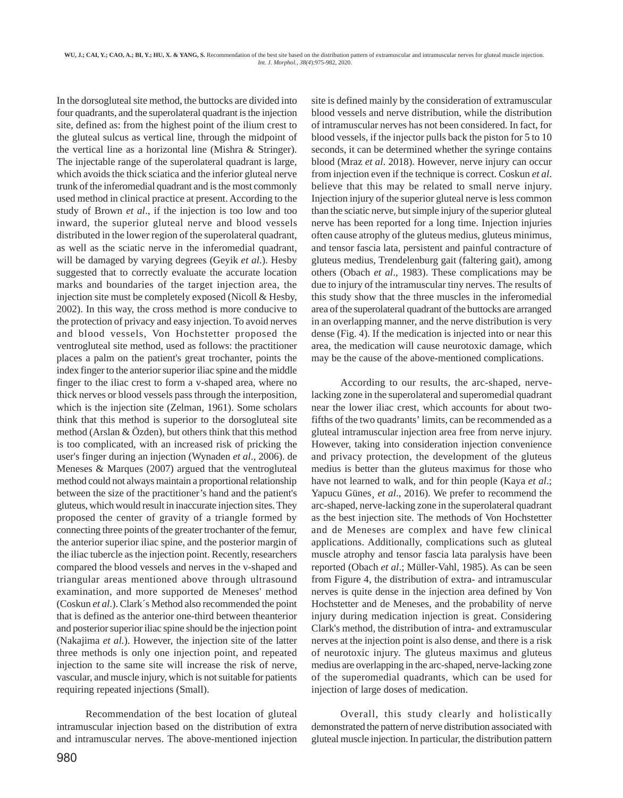In the dorsogluteal site method, the buttocks are divided into four quadrants, and the superolateral quadrant is the injection site, defined as: from the highest point of the ilium crest to the gluteal sulcus as vertical line, through the midpoint of the vertical line as a horizontal line (Mishra & Stringer). The injectable range of the superolateral quadrant is large, which avoids the thick sciatica and the inferior gluteal nerve trunk of the inferomedial quadrant and is the most commonly used method in clinical practice at present. According to the study of Brown *et al*., if the injection is too low and too inward, the superior gluteal nerve and blood vessels distributed in the lower region of the superolateral quadrant, as well as the sciatic nerve in the inferomedial quadrant, will be damaged by varying degrees (Geyik *et al*.). Hesby suggested that to correctly evaluate the accurate location marks and boundaries of the target injection area, the injection site must be completely exposed (Nicoll & Hesby, 2002). In this way, the cross method is more conducive to the protection of privacy and easy injection. To avoid nerves and blood vessels, Von Hochstetter proposed the ventrogluteal site method, used as follows: the practitioner places a palm on the patient's great trochanter, points the index finger to the anterior superior iliac spine and the middle finger to the iliac crest to form a v-shaped area, where no thick nerves or blood vessels pass through the interposition, which is the injection site (Zelman, 1961). Some scholars think that this method is superior to the dorsogluteal site method (Arslan & Özden), but others think that this method is too complicated, with an increased risk of pricking the user's finger during an injection (Wynaden *et al*., 2006). de Meneses & Marques (2007) argued that the ventrogluteal method could not always maintain a proportional relationship between the size of the practitioner's hand and the patient's gluteus, which would result in inaccurate injection sites. They proposed the center of gravity of a triangle formed by connecting three points of the greater trochanter of the femur, the anterior superior iliac spine, and the posterior margin of the iliac tubercle as the injection point. Recently, researchers compared the blood vessels and nerves in the v-shaped and triangular areas mentioned above through ultrasound examination, and more supported de Meneses' method (Coskun *et al*.). Clark´s Method also recommended the point that is defined as the anterior one-third between theanterior and posterior superior iliac spine should be the injection point (Nakajima *et al*.). However, the injection site of the latter three methods is only one injection point, and repeated injection to the same site will increase the risk of nerve, vascular, and muscle injury, which is not suitable for patients requiring repeated injections (Small).

Recommendation of the best location of gluteal intramuscular injection based on the distribution of extra and intramuscular nerves. The above-mentioned injection site is defined mainly by the consideration of extramuscular blood vessels and nerve distribution, while the distribution of intramuscular nerves has not been considered. In fact, for blood vessels, if the injector pulls back the piston for 5 to 10 seconds, it can be determined whether the syringe contains blood (Mraz *et al*. 2018). However, nerve injury can occur from injection even if the technique is correct. Coskun *et al*. believe that this may be related to small nerve injury. Injection injury of the superior gluteal nerve is less common than the sciatic nerve, but simple injury of the superior gluteal nerve has been reported for a long time. Injection injuries often cause atrophy of the gluteus medius, gluteus minimus, and tensor fascia lata, persistent and painful contracture of gluteus medius, Trendelenburg gait (faltering gait), among others (Obach *et al*., 1983). These complications may be due to injury of the intramuscular tiny nerves. The results of this study show that the three muscles in the inferomedial area of the superolateral quadrant of the buttocks are arranged in an overlapping manner, and the nerve distribution is very dense (Fig. 4). If the medication is injected into or near this area, the medication will cause neurotoxic damage, which may be the cause of the above-mentioned complications.

According to our results, the arc-shaped, nervelacking zone in the superolateral and superomedial quadrant near the lower iliac crest, which accounts for about twofifths of the two quadrants' limits, can be recommended as a gluteal intramuscular injection area free from nerve injury. However, taking into consideration injection convenience and privacy protection, the development of the gluteus medius is better than the gluteus maximus for those who have not learned to walk, and for thin people (Kaya *et al*.; Yapucu Günes¸ *et al*., 2016). We prefer to recommend the arc-shaped, nerve-lacking zone in the superolateral quadrant as the best injection site. The methods of Von Hochstetter and de Meneses are complex and have few clinical applications. Additionally, complications such as gluteal muscle atrophy and tensor fascia lata paralysis have been reported (Obach *et al*.; Müller-Vahl, 1985). As can be seen from Figure 4, the distribution of extra- and intramuscular nerves is quite dense in the injection area defined by Von Hochstetter and de Meneses, and the probability of nerve injury during medication injection is great. Considering Clark's method, the distribution of intra- and extramuscular nerves at the injection point is also dense, and there is a risk of neurotoxic injury. The gluteus maximus and gluteus medius are overlapping in the arc-shaped, nerve-lacking zone of the superomedial quadrants, which can be used for injection of large doses of medication.

Overall, this study clearly and holistically demonstrated the pattern of nerve distribution associated with gluteal muscle injection. In particular, the distribution pattern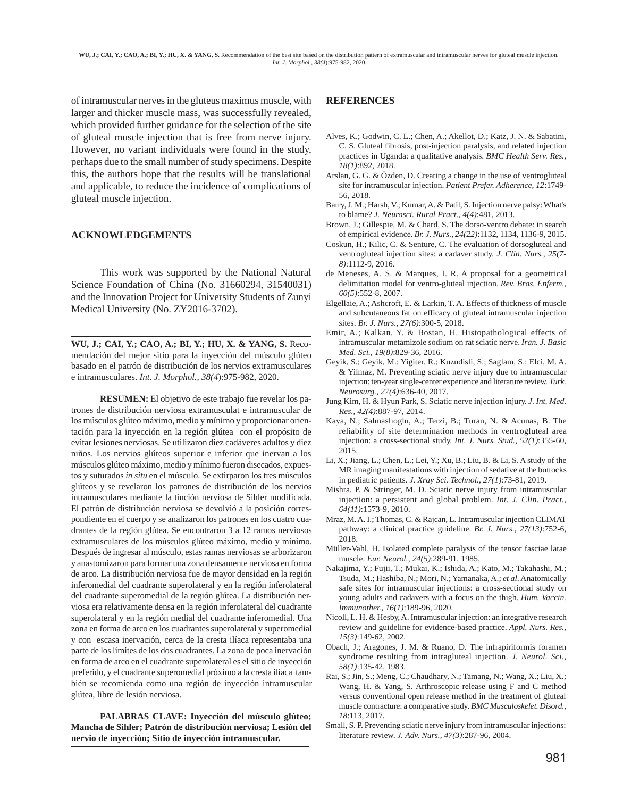of intramuscular nerves in the gluteus maximus muscle, with larger and thicker muscle mass, was successfully revealed, which provided further guidance for the selection of the site of gluteal muscle injection that is free from nerve injury. However, no variant individuals were found in the study, perhaps due to the small number of study specimens. Despite this, the authors hope that the results will be translational and applicable, to reduce the incidence of complications of gluteal muscle injection.

#### **ACKNOWLEDGEMENTS**

This work was supported by the National Natural Science Foundation of China (No. 31660294, 31540031) and the Innovation Project for University Students of Zunyi Medical University (No. ZY2016-3702).

**WU, J.; CAI, Y.; CAO, A.; BI, Y.; HU, X. & YANG, S.** Recomendación del mejor sitio para la inyección del músculo glúteo basado en el patrón de distribución de los nervios extramusculares e intramusculares. *Int. J. Morphol., 38(4*):975-982, 2020.

**RESUMEN:** El objetivo de este trabajo fue revelar los patrones de distribución nerviosa extramusculat e intramuscular de los músculos glúteo máximo, medio y mínimo y proporcionar orientación para la inyección en la región glútea con el propósito de evitar lesiones nerviosas. Se utilizaron diez cadáveres adultos y diez niños. Los nervios glúteos superior e inferior que inervan a los músculos glúteo máximo, medio y mínimo fueron disecados, expuestos y suturados *in situ* en el músculo. Se extirparon los tres músculos glúteos y se revelaron los patrones de distribución de los nervios intramusculares mediante la tinción nerviosa de Sihler modificada. El patrón de distribución nerviosa se devolvió a la posición correspondiente en el cuerpo y se analizaron los patrones en los cuatro cuadrantes de la región glútea. Se encontraron 3 a 12 ramos nerviosos extramusculares de los músculos glúteo máximo, medio y mínimo. Después de ingresar al músculo, estas ramas nerviosas se arborizaron y anastomizaron para formar una zona densamente nerviosa en forma de arco. La distribución nerviosa fue de mayor densidad en la región inferomedial del cuadrante superolateral y en la región inferolateral del cuadrante superomedial de la región glútea. La distribución nerviosa era relativamente densa en la región inferolateral del cuadrante superolateral y en la región medial del cuadrante inferomedial. Una zona en forma de arco en los cuadrantes superolateral y superomedial y con escasa inervación, cerca de la cresta ilíaca representaba una parte de los límites de los dos cuadrantes. La zona de poca inervación en forma de arco en el cuadrante superolateral es el sitio de inyección preferido, y el cuadrante superomedial próximo a la cresta ilíaca también se recomienda como una región de inyección intramuscular glútea, libre de lesión nerviosa.

**PALABRAS CLAVE: Inyección del músculo glúteo; Mancha de Sihler; Patrón de distribución nerviosa; Lesión del nervio de inyección; Sitio de inyección intramuscular.**

## **REFERENCES**

- Alves, K.; Godwin, C. L.; Chen, A.; Akellot, D.; Katz, J. N. & Sabatini, C. S. Gluteal fibrosis, post-injection paralysis, and related injection practices in Uganda: a qualitative analysis. *BMC Health Serv. Res., 18(1)*:892, 2018.
- Arslan, G. G. & Özden, D. Creating a change in the use of ventrogluteal site for intramuscular injection. *Patient Prefer. Adherence, 12*:1749- 56, 2018.
- Barry, J. M.; Harsh, V.; Kumar, A. & Patil, S. Injection nerve palsy: What's to blame? *J. Neurosci. Rural Pract., 4(4)*:481, 2013.
- Brown, J.; Gillespie, M. & Chard, S. The dorso-ventro debate: in search of empirical evidence. *Br. J. Nurs., 24(22)*:1132, 1134, 1136-9, 2015.
- Coskun, H.; Kilic, C. & Senture, C. The evaluation of dorsogluteal and ventrogluteal injection sites: a cadaver study. *J. Clin. Nurs., 25(7- 8)*:1112-9, 2016.
- de Meneses, A. S. & Marques, I. R. A proposal for a geometrical delimitation model for ventro-gluteal injection. *Rev. Bras. Enferm., 60(5)*:552-8, 2007.
- Elgellaie, A.; Ashcroft, E. & Larkin, T. A. Effects of thickness of muscle and subcutaneous fat on efficacy of gluteal intramuscular injection sites. *Br. J. Nurs., 27(6)*:300-5, 2018.
- Emir, A.; Kalkan, Y. & Bostan, H. Histopathological effects of intramuscular metamizole sodium on rat sciatic nerve. *Iran. J. Basic Med. Sci., 19(8)*:829-36, 2016.
- Geyik, S.; Geyik, M.; Yigiter, R.; Kuzudisli, S.; Saglam, S.; Elci, M. A. & Yilmaz, M. Preventing sciatic nerve injury due to intramuscular injection: ten-year single-center experience and literature review. *Turk. Neurosurg., 27(4)*:636-40, 2017.
- Jung Kim, H. & Hyun Park, S. Sciatic nerve injection injury. *J. Int. Med. Res., 42(4)*:887-97, 2014.
- Kaya, N.; Salmaslıoglu, A.; Terzi, B.; Turan, N. & Acunas, B. The reliability of site determination methods in ventrogluteal area injection: a cross-sectional study. *Int. J. Nurs. Stud., 52(1)*:355-60, 2015.
- Li, X.; Jiang, L.; Chen, L.; Lei, Y.; Xu, B.; Liu, B. & Li, S. A study of the MR imaging manifestations with injection of sedative at the buttocks in pediatric patients. *J. Xray Sci. Technol., 27(1)*:73-81, 2019.
- Mishra, P. & Stringer, M. D. Sciatic nerve injury from intramuscular injection: a persistent and global problem. *Int. J. Clin. Pract., 64(11)*:1573-9, 2010.
- Mraz, M. A. I.; Thomas, C. & Rajcan, L. Intramuscular injection CLIMAT pathway: a clinical practice guideline. *Br. J. Nurs., 27(13)*:752-6, 2018.
- Müller-Vahl, H. Isolated complete paralysis of the tensor fasciae latae muscle. *Eur. Neurol., 24(5)*:289-91, 1985.
- Nakajima, Y.; Fujii, T.; Mukai, K.; Ishida, A.; Kato, M.; Takahashi, M.; Tsuda, M.; Hashiba, N.; Mori, N.; Yamanaka, A.; *et al*. Anatomically safe sites for intramuscular injections: a cross-sectional study on young adults and cadavers with a focus on the thigh. *Hum. Vaccin. Immunother., 16(1)*:189-96, 2020.
- Nicoll, L. H. & Hesby, A. Intramuscular injection: an integrative research review and guideline for evidence-based practice. *Appl. Nurs. Res., 15(3)*:149-62, 2002.
- Obach, J.; Aragones, J. M. & Ruano, D. The infrapiriformis foramen syndrome resulting from intragluteal injection. *J. Neurol. Sci., 58(1)*:135-42, 1983.
- Rai, S.; Jin, S.; Meng, C.; Chaudhary, N.; Tamang, N.; Wang, X.; Liu, X.; Wang, H. & Yang, S. Arthroscopic release using F and C method versus conventional open release method in the treatment of gluteal muscle contracture: a comparative study. *BMC Musculoskelet. Disord., 18*:113, 2017.
- Small, S. P. Preventing sciatic nerve injury from intramuscular injections: literature review. *J. Adv. Nurs., 47(3)*:287-96, 2004.